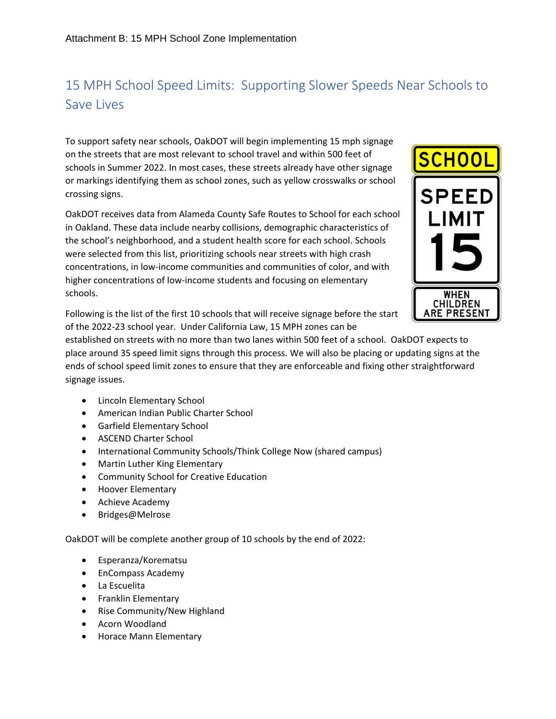## 15 MPH School Speed Limits: Supporting Slower Speeds Near Schools to Save Lives

To support safety near schools, OakDOT will begin implementing 15 mph signage on the streets that are most relevant to school travel and within 500 feet of schools in Summer 2022. In most cases, these streets already have other signage or markings identifying them as school zones, such as yellow crosswalks or school crossing signs.

OakDOT receives data from Alameda County Safe Routes to School for each school in Oakland. These data include nearby collisions, demographic characteristics of the school's neighborhood, and a student health score for each school. Schools were selected from this list, prioritizing schools near streets with high crash concentrations, in low-income communities and communities of color, and with higher concentrations of low-income students and focusing on elementary schools.



Following is the list of the first 10 schools that will receive signage before the start of the 2022-23 school year. Under California Law, 15 MPH zones can be

established on streets with no more than two lanes within 500 feet of a school. OakDOT expects to place around 35 speed limit signs through this process. We will also be placing or updating signs at the ends of school speed limit zones to ensure that they are enforceable and fixing other straightforward signage issues.

- Lincoln Elementary School
- American Indian Public Charter School
- Garfield Elementary School
- ASCEND Charter School
- International Community Schools/Think College Now (shared campus)
- Martin Luther King Elementary
- Community School for Creative Education
- Hoover Elementary
- Achieve Academy
- Bridges@Melrose

OakDOT will be complete another group of 10 schools by the end of 2022:

- Esperanza/Korematsu
- EnCompass Academy
- La Escuelita
- Franklin Elementary
- Rise Community/New Highland
- Acorn Woodland
- Horace Mann Elementary